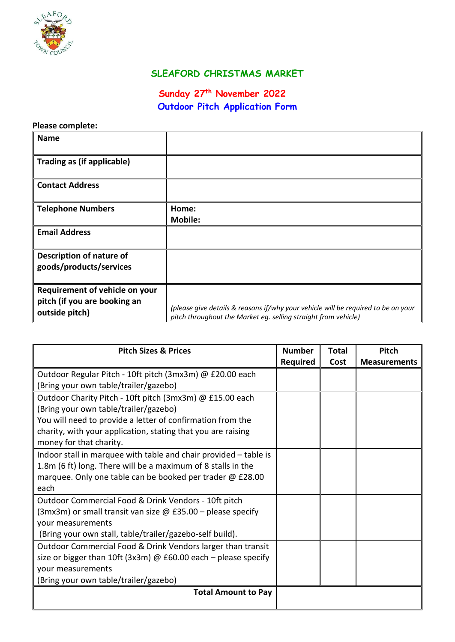

## **SLEAFORD CHRISTMAS MARKET**

## **Sunday 27th November 2022 Outdoor Pitch Application Form**

## **Please complete:**

| <b>Name</b>                                                                      |                                                                                                                                                     |
|----------------------------------------------------------------------------------|-----------------------------------------------------------------------------------------------------------------------------------------------------|
| Trading as (if applicable)                                                       |                                                                                                                                                     |
| <b>Contact Address</b>                                                           |                                                                                                                                                     |
| <b>Telephone Numbers</b>                                                         | Home:<br><b>Mobile:</b>                                                                                                                             |
| <b>Email Address</b>                                                             |                                                                                                                                                     |
| Description of nature of<br>goods/products/services                              |                                                                                                                                                     |
| Requirement of vehicle on your<br>pitch (if you are booking an<br>outside pitch) | (please give details & reasons if/why your vehicle will be required to be on your<br>pitch throughout the Market eg. selling straight from vehicle) |

| <b>Pitch Sizes &amp; Prices</b>                                       |                 | <b>Total</b> | Pitch               |
|-----------------------------------------------------------------------|-----------------|--------------|---------------------|
|                                                                       | <b>Required</b> | Cost         | <b>Measurements</b> |
| Outdoor Regular Pitch - 10ft pitch (3mx3m) @ £20.00 each              |                 |              |                     |
| (Bring your own table/trailer/gazebo)                                 |                 |              |                     |
| Outdoor Charity Pitch - 10ft pitch (3mx3m) @ £15.00 each              |                 |              |                     |
| (Bring your own table/trailer/gazebo)                                 |                 |              |                     |
| You will need to provide a letter of confirmation from the            |                 |              |                     |
| charity, with your application, stating that you are raising          |                 |              |                     |
| money for that charity.                                               |                 |              |                     |
| Indoor stall in marquee with table and chair provided - table is      |                 |              |                     |
| 1.8m (6 ft) long. There will be a maximum of 8 stalls in the          |                 |              |                     |
| marquee. Only one table can be booked per trader @ £28.00             |                 |              |                     |
| each                                                                  |                 |              |                     |
| Outdoor Commercial Food & Drink Vendors - 10ft pitch                  |                 |              |                     |
| $(3mx3m)$ or small transit van size @ £35.00 – please specify         |                 |              |                     |
| your measurements                                                     |                 |              |                     |
| (Bring your own stall, table/trailer/gazebo-self build).              |                 |              |                     |
| Outdoor Commercial Food & Drink Vendors larger than transit           |                 |              |                     |
| size or bigger than 10ft (3x3m) $\omega$ £60.00 each – please specify |                 |              |                     |
| your measurements                                                     |                 |              |                     |
| (Bring your own table/trailer/gazebo)                                 |                 |              |                     |
| <b>Total Amount to Pay</b>                                            |                 |              |                     |